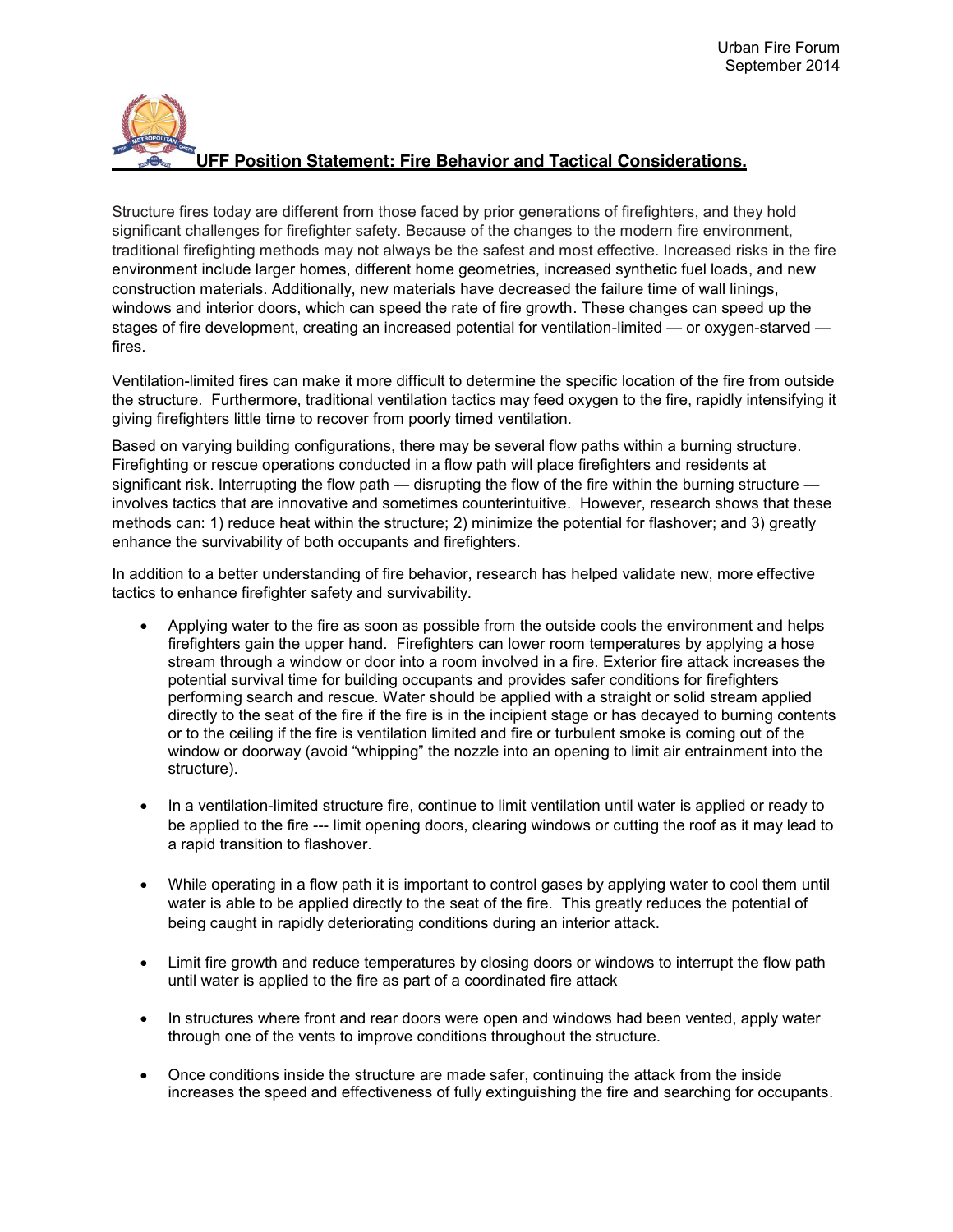## **UFF Position Statement: Fire Behavior and Tactical Considerations.**

Structure fires today are different from those faced by prior generations of firefighters, and they hold significant challenges for firefighter safety. Because of the changes to the modern fire environment, traditional firefighting methods may not always be the safest and most effective. Increased risks in the fire environment include larger homes, different home geometries, increased synthetic fuel loads, and new construction materials. Additionally, new materials have decreased the failure time of wall linings, windows and interior doors, which can speed the rate of fire growth. These changes can speed up the stages of fire development, creating an increased potential for ventilation-limited — or oxygen-starved fires.

Ventilation-limited fires can make it more difficult to determine the specific location of the fire from outside the structure. Furthermore, traditional ventilation tactics may feed oxygen to the fire, rapidly intensifying it giving firefighters little time to recover from poorly timed ventilation.

Based on varying building configurations, there may be several flow paths within a burning structure. Firefighting or rescue operations conducted in a flow path will place firefighters and residents at significant risk. Interrupting the flow path — disrupting the flow of the fire within the burning structure involves tactics that are innovative and sometimes counterintuitive. However, research shows that these methods can: 1) reduce heat within the structure; 2) minimize the potential for flashover; and 3) greatly enhance the survivability of both occupants and firefighters.

In addition to a better understanding of fire behavior, research has helped validate new, more effective tactics to enhance firefighter safety and survivability.

- Applying water to the fire as soon as possible from the outside cools the environment and helps firefighters gain the upper hand. Firefighters can lower room temperatures by applying a hose stream through a window or door into a room involved in a fire. Exterior fire attack increases the potential survival time for building occupants and provides safer conditions for firefighters performing search and rescue. Water should be applied with a straight or solid stream applied directly to the seat of the fire if the fire is in the incipient stage or has decayed to burning contents or to the ceiling if the fire is ventilation limited and fire or turbulent smoke is coming out of the window or doorway (avoid "whipping" the nozzle into an opening to limit air entrainment into the structure).
- In a ventilation-limited structure fire, continue to limit ventilation until water is applied or ready to be applied to the fire --- limit opening doors, clearing windows or cutting the roof as it may lead to a rapid transition to flashover.
- While operating in a flow path it is important to control gases by applying water to cool them until water is able to be applied directly to the seat of the fire. This greatly reduces the potential of being caught in rapidly deteriorating conditions during an interior attack.
- Limit fire growth and reduce temperatures by closing doors or windows to interrupt the flow path until water is applied to the fire as part of a coordinated fire attack
- In structures where front and rear doors were open and windows had been vented, apply water through one of the vents to improve conditions throughout the structure.
- Once conditions inside the structure are made safer, continuing the attack from the inside increases the speed and effectiveness of fully extinguishing the fire and searching for occupants.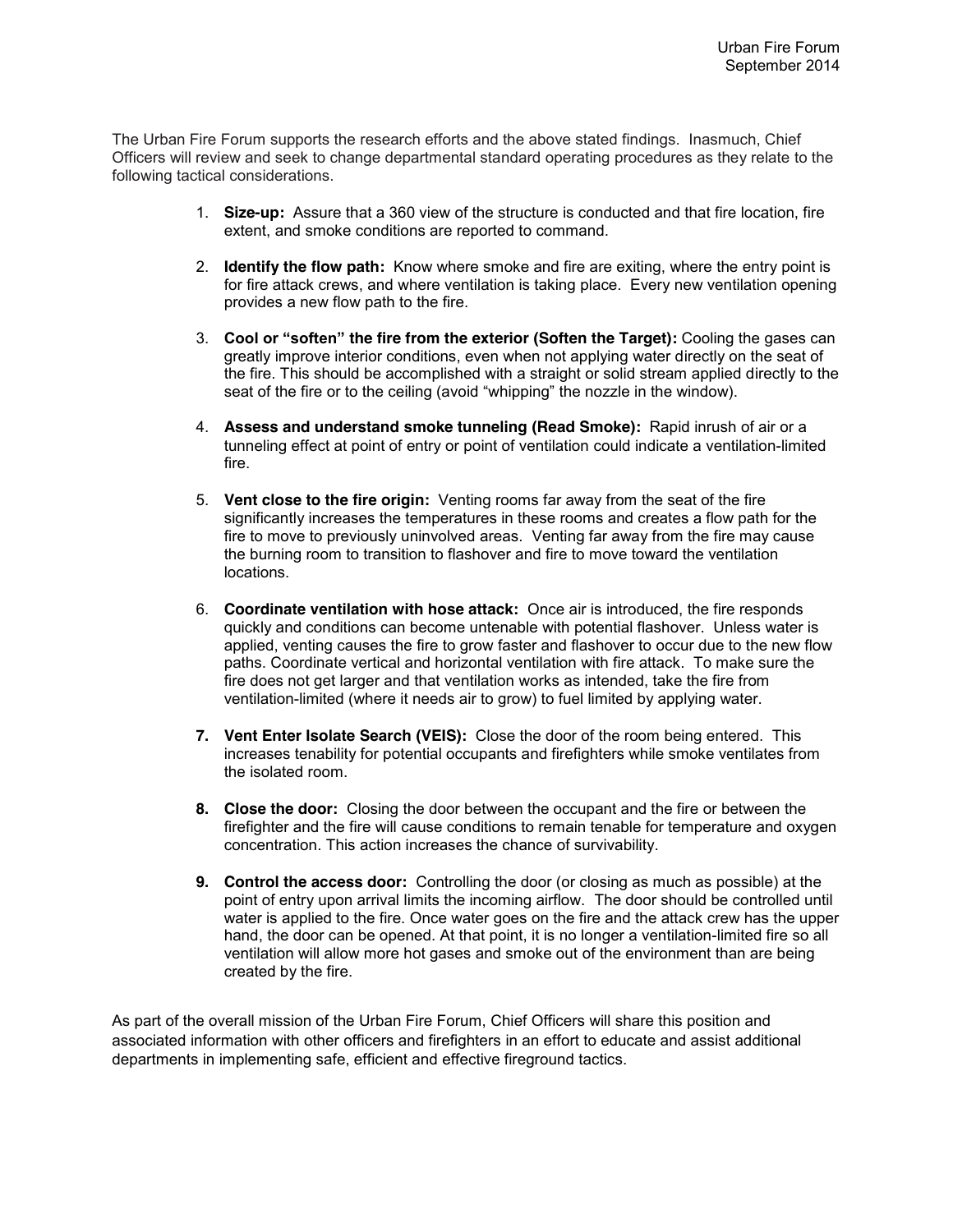The Urban Fire Forum supports the research efforts and the above stated findings. Inasmuch, Chief Officers will review and seek to change departmental standard operating procedures as they relate to the following tactical considerations.

- 1. **Size-up:** Assure that a 360 view of the structure is conducted and that fire location, fire extent, and smoke conditions are reported to command.
- 2. **Identify the flow path:** Know where smoke and fire are exiting, where the entry point is for fire attack crews, and where ventilation is taking place. Every new ventilation opening provides a new flow path to the fire.
- 3. **Cool or "soften" the fire from the exterior (Soften the Target):** Cooling the gases can greatly improve interior conditions, even when not applying water directly on the seat of the fire. This should be accomplished with a straight or solid stream applied directly to the seat of the fire or to the ceiling (avoid "whipping" the nozzle in the window).
- 4. **Assess and understand smoke tunneling (Read Smoke):** Rapid inrush of air or a tunneling effect at point of entry or point of ventilation could indicate a ventilation-limited fire.
- 5. **Vent close to the fire origin:** Venting rooms far away from the seat of the fire significantly increases the temperatures in these rooms and creates a flow path for the fire to move to previously uninvolved areas. Venting far away from the fire may cause the burning room to transition to flashover and fire to move toward the ventilation locations.
- 6. **Coordinate ventilation with hose attack:** Once air is introduced, the fire responds quickly and conditions can become untenable with potential flashover. Unless water is applied, venting causes the fire to grow faster and flashover to occur due to the new flow paths. Coordinate vertical and horizontal ventilation with fire attack. To make sure the fire does not get larger and that ventilation works as intended, take the fire from ventilation-limited (where it needs air to grow) to fuel limited by applying water.
- **7. Vent Enter Isolate Search (VEIS):** Close the door of the room being entered. This increases tenability for potential occupants and firefighters while smoke ventilates from the isolated room.
- **8. Close the door:** Closing the door between the occupant and the fire or between the firefighter and the fire will cause conditions to remain tenable for temperature and oxygen concentration. This action increases the chance of survivability.
- **9. Control the access door:** Controlling the door (or closing as much as possible) at the point of entry upon arrival limits the incoming airflow. The door should be controlled until water is applied to the fire. Once water goes on the fire and the attack crew has the upper hand, the door can be opened. At that point, it is no longer a ventilation-limited fire so all ventilation will allow more hot gases and smoke out of the environment than are being created by the fire.

As part of the overall mission of the Urban Fire Forum, Chief Officers will share this position and associated information with other officers and firefighters in an effort to educate and assist additional departments in implementing safe, efficient and effective fireground tactics.